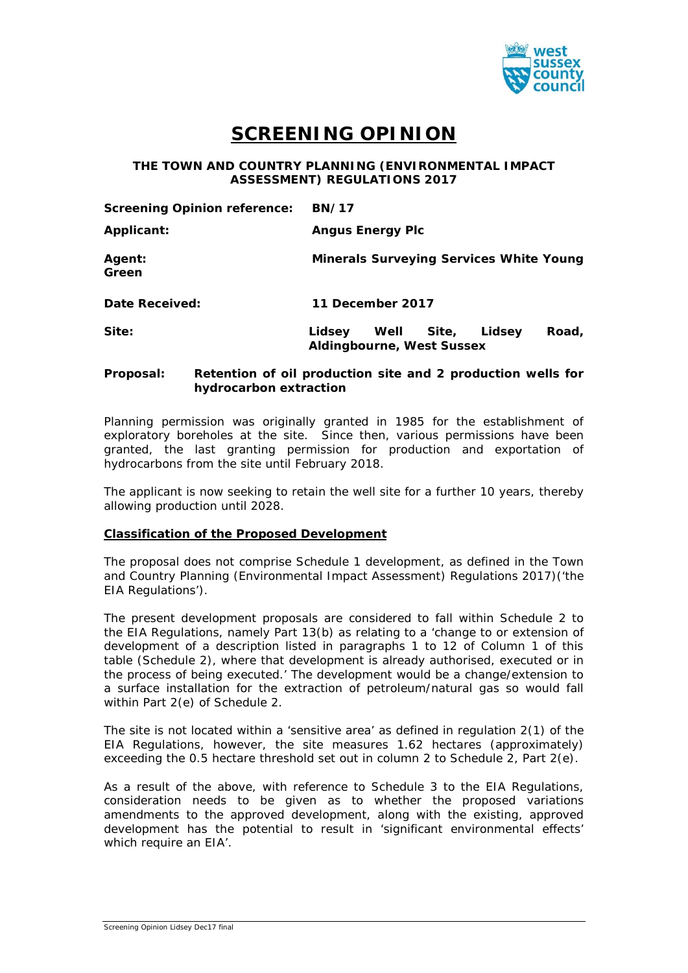

# **SCREENING OPINION**

**THE TOWN AND COUNTRY PLANNING (ENVIRONMENTAL IMPACT ASSESSMENT) REGULATIONS 2017**

| <b>Screening Opinion reference:</b> | <b>BN/17</b>                                                                   |  |  |
|-------------------------------------|--------------------------------------------------------------------------------|--|--|
| <b>Applicant:</b>                   | <b>Angus Energy Plc</b>                                                        |  |  |
| Agent:<br>Green                     | <b>Minerals Surveying Services White Young</b>                                 |  |  |
| Date Received:                      | 11 December 2017                                                               |  |  |
| Site:                               | Road,<br>Lidsey<br>Site,<br>Lidsev<br>Well<br><b>Aldingbourne, West Sussex</b> |  |  |

## **Proposal: Retention of oil production site and 2 production wells for hydrocarbon extraction**

Planning permission was originally granted in 1985 for the establishment of exploratory boreholes at the site. Since then, various permissions have been granted, the last granting permission for production and exportation of hydrocarbons from the site until February 2018.

The applicant is now seeking to retain the well site for a further 10 years, thereby allowing production until 2028.

### **Classification of the Proposed Development**

The proposal does not comprise Schedule 1 development, as defined in the Town and Country Planning (Environmental Impact Assessment) Regulations 2017)('the EIA Regulations').

The present development proposals are considered to fall within Schedule 2 to the EIA Regulations, namely Part 13(b) as relating to a '*change to or extension of development of a description listed in paragraphs 1 to 12 of Column 1 of this table* (Schedule 2)*, where that development is already authorised, executed or in the process of being executed.'* The development would be a change/extension to a surface installation for the extraction of petroleum/natural gas so would fall within Part 2(e) of Schedule 2.

The site is not located within a 'sensitive area' as defined in regulation 2(1) of the EIA Regulations, however, the site measures 1.62 hectares (approximately) exceeding the 0.5 hectare threshold set out in column 2 to Schedule 2, Part 2(e).

As a result of the above, with reference to Schedule 3 to the EIA Regulations, consideration needs to be given as to whether the proposed variations amendments to the approved development, along with the existing, approved development has the potential to result in 'significant environmental effects' which require an EIA'.

Screening Opinion Lidsey Dec17 final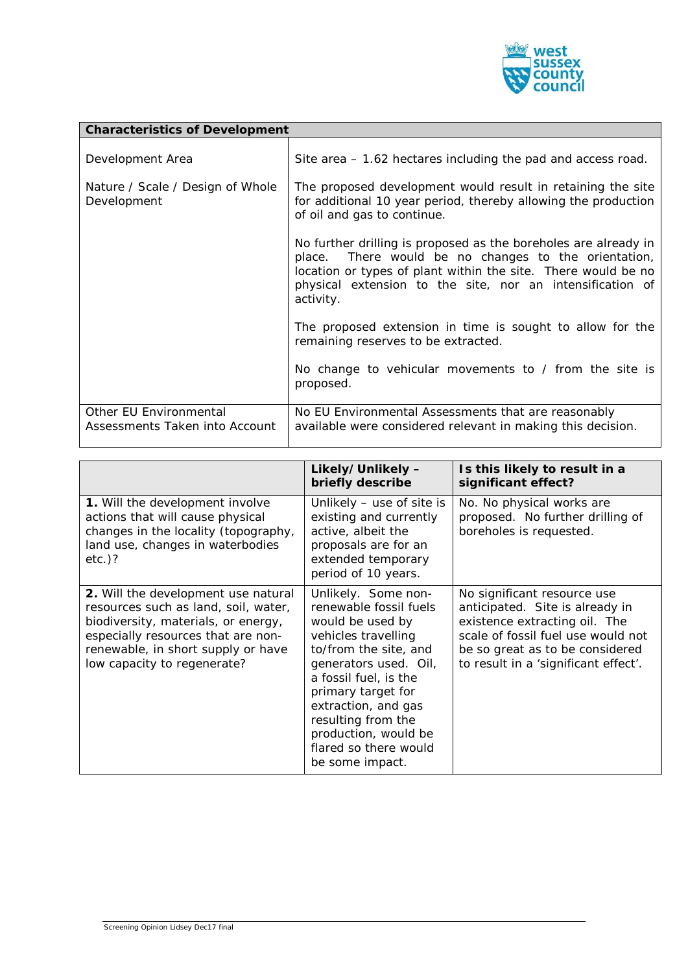

| <b>Characteristics of Development</b>                    |                                                                                                                                                                                                                                                                    |  |
|----------------------------------------------------------|--------------------------------------------------------------------------------------------------------------------------------------------------------------------------------------------------------------------------------------------------------------------|--|
| Development Area                                         | Site area $-1.62$ hectares including the pad and access road.                                                                                                                                                                                                      |  |
| Nature / Scale / Design of Whole<br>Development          | The proposed development would result in retaining the site<br>for additional 10 year period, thereby allowing the production<br>of oil and gas to continue.                                                                                                       |  |
|                                                          | No further drilling is proposed as the boreholes are already in<br>place. There would be no changes to the orientation,<br>location or types of plant within the site. There would be no<br>physical extension to the site, nor an intensification of<br>activity. |  |
|                                                          | The proposed extension in time is sought to allow for the<br>remaining reserves to be extracted.                                                                                                                                                                   |  |
|                                                          | No change to vehicular movements to / from the site is<br>proposed.                                                                                                                                                                                                |  |
| Other EU Environmental<br>Assessments Taken into Account | No EU Environmental Assessments that are reasonably<br>available were considered relevant in making this decision.                                                                                                                                                 |  |

|                                                                                                                                                                                                                               | Likely/Unlikely -<br>briefly describe                                                                                                                                                                                                                                                                      | Is this likely to result in a<br>significant effect?                                                                                                                                                             |
|-------------------------------------------------------------------------------------------------------------------------------------------------------------------------------------------------------------------------------|------------------------------------------------------------------------------------------------------------------------------------------------------------------------------------------------------------------------------------------------------------------------------------------------------------|------------------------------------------------------------------------------------------------------------------------------------------------------------------------------------------------------------------|
| 1. Will the development involve<br>actions that will cause physical<br>changes in the locality (topography,<br>land use, changes in waterbodies<br>$etc.$ )?                                                                  | Unlikely $-$ use of site is<br>existing and currently<br>active, albeit the<br>proposals are for an<br>extended temporary<br>period of 10 years.                                                                                                                                                           | No. No physical works are<br>proposed. No further drilling of<br>boreholes is requested.                                                                                                                         |
| 2. Will the development use natural<br>resources such as land, soil, water,<br>biodiversity, materials, or energy,<br>especially resources that are non-<br>renewable, in short supply or have<br>low capacity to regenerate? | Unlikely. Some non-<br>renewable fossil fuels<br>would be used by<br>vehicles travelling<br>to/from the site, and<br>generators used. Oil,<br>a fossil fuel, is the<br>primary target for<br>extraction, and gas<br>resulting from the<br>production, would be<br>flared so there would<br>be some impact. | No significant resource use<br>anticipated. Site is already in<br>existence extracting oil. The<br>scale of fossil fuel use would not<br>be so great as to be considered<br>to result in a 'significant effect'. |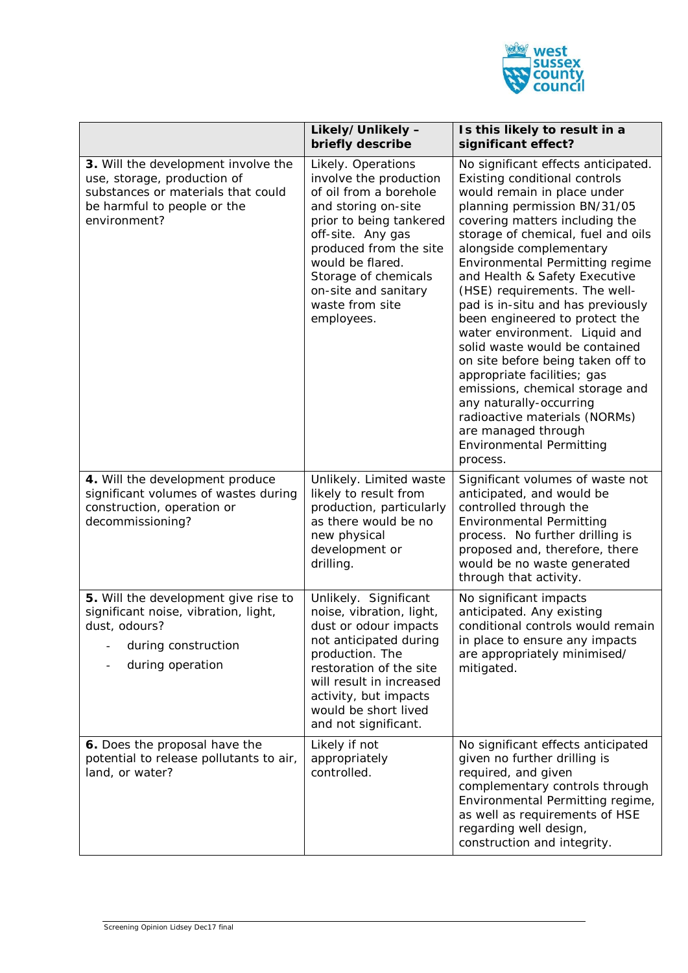

|                                                                                                                                                         | Likely/Unlikely -<br>briefly describe                                                                                                                                                                                                                                        | Is this likely to result in a<br>significant effect?                                                                                                                                                                                                                                                                                                                                                                                                                                                                                                                                                                                                                                                                           |
|---------------------------------------------------------------------------------------------------------------------------------------------------------|------------------------------------------------------------------------------------------------------------------------------------------------------------------------------------------------------------------------------------------------------------------------------|--------------------------------------------------------------------------------------------------------------------------------------------------------------------------------------------------------------------------------------------------------------------------------------------------------------------------------------------------------------------------------------------------------------------------------------------------------------------------------------------------------------------------------------------------------------------------------------------------------------------------------------------------------------------------------------------------------------------------------|
| 3. Will the development involve the<br>use, storage, production of<br>substances or materials that could<br>be harmful to people or the<br>environment? | Likely. Operations<br>involve the production<br>of oil from a borehole<br>and storing on-site<br>prior to being tankered<br>off-site. Any gas<br>produced from the site<br>would be flared.<br>Storage of chemicals<br>on-site and sanitary<br>waste from site<br>employees. | No significant effects anticipated.<br>Existing conditional controls<br>would remain in place under<br>planning permission BN/31/05<br>covering matters including the<br>storage of chemical, fuel and oils<br>alongside complementary<br>Environmental Permitting regime<br>and Health & Safety Executive<br>(HSE) requirements. The well-<br>pad is in-situ and has previously<br>been engineered to protect the<br>water environment. Liquid and<br>solid waste would be contained<br>on site before being taken off to<br>appropriate facilities; gas<br>emissions, chemical storage and<br>any naturally-occurring<br>radioactive materials (NORMs)<br>are managed through<br><b>Environmental Permitting</b><br>process. |
| 4. Will the development produce<br>significant volumes of wastes during<br>construction, operation or<br>decommissioning?                               | Unlikely. Limited waste<br>likely to result from<br>production, particularly<br>as there would be no<br>new physical<br>development or<br>drilling.                                                                                                                          | Significant volumes of waste not<br>anticipated, and would be<br>controlled through the<br><b>Environmental Permitting</b><br>process. No further drilling is<br>proposed and, therefore, there<br>would be no waste generated<br>through that activity.                                                                                                                                                                                                                                                                                                                                                                                                                                                                       |
| 5. Will the development give rise to<br>significant noise, vibration, light,<br>dust, odours?<br>during construction<br>during operation                | Unlikely. Significant<br>noise, vibration, light,<br>dust or odour impacts<br>not anticipated during<br>production. The<br>restoration of the site<br>will result in increased<br>activity, but impacts<br>would be short lived<br>and not significant.                      | No significant impacts<br>anticipated. Any existing<br>conditional controls would remain<br>in place to ensure any impacts<br>are appropriately minimised/<br>mitigated.                                                                                                                                                                                                                                                                                                                                                                                                                                                                                                                                                       |
| 6. Does the proposal have the<br>potential to release pollutants to air,<br>land, or water?                                                             | Likely if not<br>appropriately<br>controlled.                                                                                                                                                                                                                                | No significant effects anticipated<br>given no further drilling is<br>required, and given<br>complementary controls through<br>Environmental Permitting regime,<br>as well as requirements of HSE<br>regarding well design,<br>construction and integrity.                                                                                                                                                                                                                                                                                                                                                                                                                                                                     |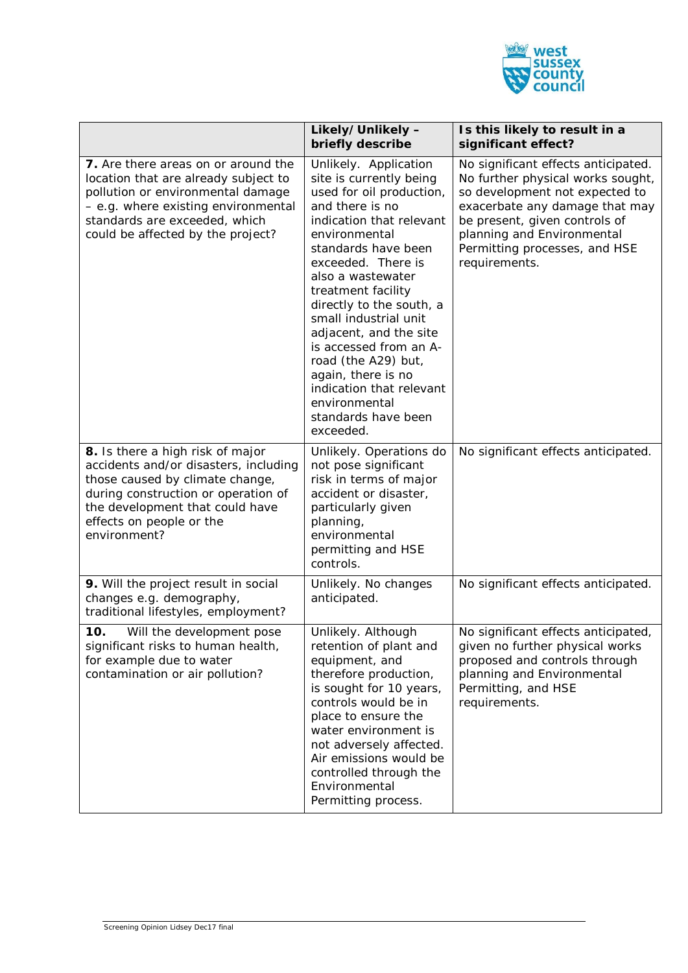

|                                                                                                                                                                                                                                    | Likely/Unlikely -<br>briefly describe                                                                                                                                                                                                                                                                                                                                                                                                                                       | Is this likely to result in a<br>significant effect?                                                                                                                                                                                                          |
|------------------------------------------------------------------------------------------------------------------------------------------------------------------------------------------------------------------------------------|-----------------------------------------------------------------------------------------------------------------------------------------------------------------------------------------------------------------------------------------------------------------------------------------------------------------------------------------------------------------------------------------------------------------------------------------------------------------------------|---------------------------------------------------------------------------------------------------------------------------------------------------------------------------------------------------------------------------------------------------------------|
| 7. Are there areas on or around the<br>location that are already subject to<br>pollution or environmental damage<br>- e.g. where existing environmental<br>standards are exceeded, which<br>could be affected by the project?      | Unlikely. Application<br>site is currently being<br>used for oil production,<br>and there is no<br>indication that relevant<br>environmental<br>standards have been<br>exceeded. There is<br>also a wastewater<br>treatment facility<br>directly to the south, a<br>small industrial unit<br>adjacent, and the site<br>is accessed from an A-<br>road (the A29) but,<br>again, there is no<br>indication that relevant<br>environmental<br>standards have been<br>exceeded. | No significant effects anticipated.<br>No further physical works sought,<br>so development not expected to<br>exacerbate any damage that may<br>be present, given controls of<br>planning and Environmental<br>Permitting processes, and HSE<br>requirements. |
| 8. Is there a high risk of major<br>accidents and/or disasters, including<br>those caused by climate change,<br>during construction or operation of<br>the development that could have<br>effects on people or the<br>environment? | Unlikely. Operations do<br>not pose significant<br>risk in terms of major<br>accident or disaster,<br>particularly given<br>planning,<br>environmental<br>permitting and HSE<br>controls.                                                                                                                                                                                                                                                                                   | No significant effects anticipated.                                                                                                                                                                                                                           |
| 9. Will the project result in social<br>changes e.g. demography,<br>traditional lifestyles, employment?                                                                                                                            | Unlikely. No changes<br>anticipated.                                                                                                                                                                                                                                                                                                                                                                                                                                        | No significant effects anticipated.                                                                                                                                                                                                                           |
| 10.<br>Will the development pose<br>significant risks to human health,<br>for example due to water<br>contamination or air pollution?                                                                                              | Unlikely. Although<br>retention of plant and<br>equipment, and<br>therefore production,<br>is sought for 10 years,<br>controls would be in<br>place to ensure the<br>water environment is<br>not adversely affected.<br>Air emissions would be<br>controlled through the<br>Environmental<br>Permitting process.                                                                                                                                                            | No significant effects anticipated,<br>given no further physical works<br>proposed and controls through<br>planning and Environmental<br>Permitting, and HSE<br>requirements.                                                                                 |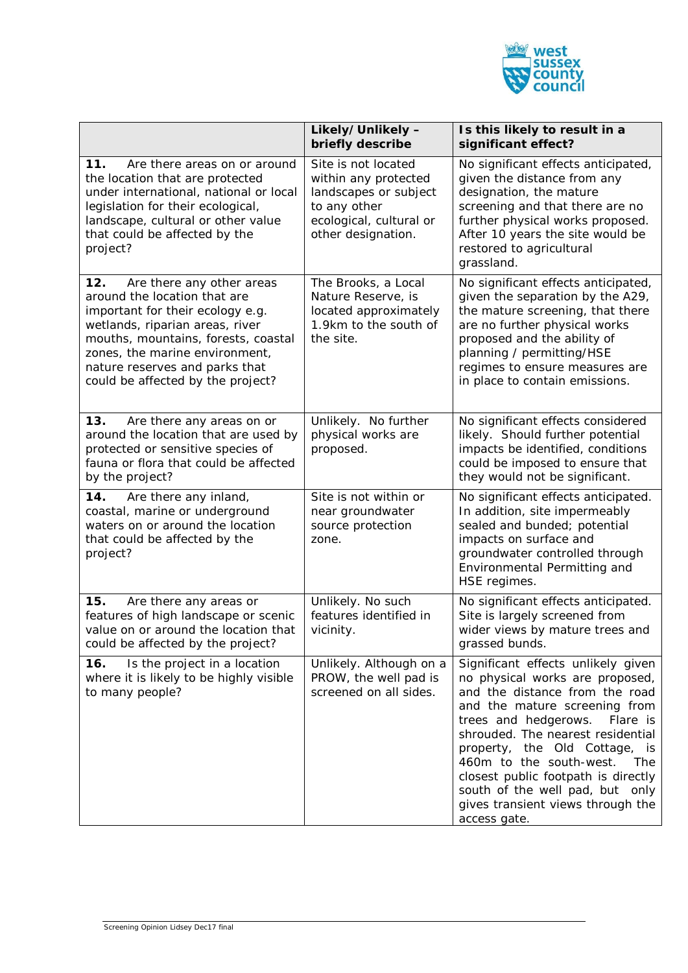

|                                                                                                                                                                                                                                                                                         | Likely/Unlikely -<br>briefly describe                                                                                                 | Is this likely to result in a<br>significant effect?                                                                                                                                                                                                                                                                                                                                                             |
|-----------------------------------------------------------------------------------------------------------------------------------------------------------------------------------------------------------------------------------------------------------------------------------------|---------------------------------------------------------------------------------------------------------------------------------------|------------------------------------------------------------------------------------------------------------------------------------------------------------------------------------------------------------------------------------------------------------------------------------------------------------------------------------------------------------------------------------------------------------------|
| 11.<br>Are there areas on or around<br>the location that are protected<br>under international, national or local<br>legislation for their ecological,<br>landscape, cultural or other value<br>that could be affected by the<br>project?                                                | Site is not located<br>within any protected<br>landscapes or subject<br>to any other<br>ecological, cultural or<br>other designation. | No significant effects anticipated,<br>given the distance from any<br>designation, the mature<br>screening and that there are no<br>further physical works proposed.<br>After 10 years the site would be<br>restored to agricultural<br>grassland.                                                                                                                                                               |
| 12.<br>Are there any other areas<br>around the location that are<br>important for their ecology e.g.<br>wetlands, riparian areas, river<br>mouths, mountains, forests, coastal<br>zones, the marine environment,<br>nature reserves and parks that<br>could be affected by the project? | The Brooks, a Local<br>Nature Reserve, is<br>located approximately<br>1.9km to the south of<br>the site.                              | No significant effects anticipated,<br>given the separation by the A29,<br>the mature screening, that there<br>are no further physical works<br>proposed and the ability of<br>planning / permitting/HSE<br>regimes to ensure measures are<br>in place to contain emissions.                                                                                                                                     |
| 13.<br>Are there any areas on or<br>around the location that are used by<br>protected or sensitive species of<br>fauna or flora that could be affected<br>by the project?                                                                                                               | Unlikely. No further<br>physical works are<br>proposed.                                                                               | No significant effects considered<br>likely. Should further potential<br>impacts be identified, conditions<br>could be imposed to ensure that<br>they would not be significant.                                                                                                                                                                                                                                  |
| 14.<br>Are there any inland,<br>coastal, marine or underground<br>waters on or around the location<br>that could be affected by the<br>project?                                                                                                                                         | Site is not within or<br>near groundwater<br>source protection<br>zone.                                                               | No significant effects anticipated.<br>In addition, site impermeably<br>sealed and bunded; potential<br>impacts on surface and<br>groundwater controlled through<br>Environmental Permitting and<br>HSE regimes.                                                                                                                                                                                                 |
| 15.<br>Are there any areas or<br>features of high landscape or scenic<br>value on or around the location that<br>could be affected by the project?                                                                                                                                      | Unlikely. No such<br>features identified in<br>vicinity.                                                                              | No significant effects anticipated.<br>Site is largely screened from<br>wider views by mature trees and<br>grassed bunds.                                                                                                                                                                                                                                                                                        |
| Is the project in a location<br>16.<br>where it is likely to be highly visible<br>to many people?                                                                                                                                                                                       | Unlikely. Although on a<br>PROW, the well pad is<br>screened on all sides.                                                            | Significant effects unlikely given<br>no physical works are proposed,<br>and the distance from the road<br>and the mature screening from<br>trees and hedgerows. Flare is<br>shrouded. The nearest residential<br>property, the Old Cottage, is<br>460m to the south-west.<br>The<br>closest public footpath is directly<br>south of the well pad, but only<br>gives transient views through the<br>access gate. |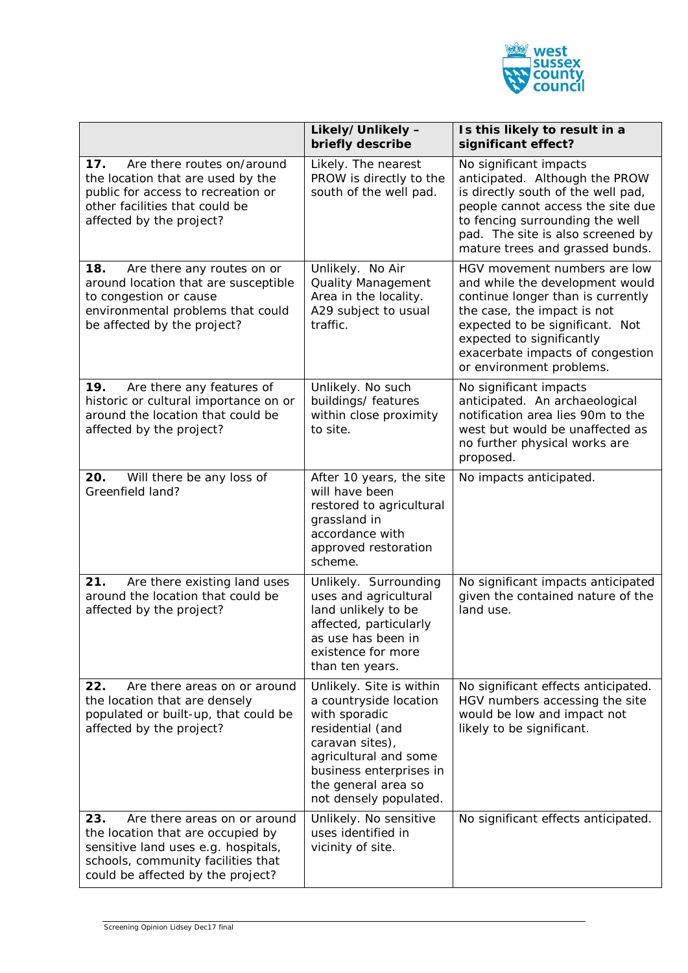

|                                                                                                                                                                                            | Likely/Unlikely -<br>briefly describe                                                                                                                                                                           | Is this likely to result in a<br>significant effect?                                                                                                                                                                                                                |
|--------------------------------------------------------------------------------------------------------------------------------------------------------------------------------------------|-----------------------------------------------------------------------------------------------------------------------------------------------------------------------------------------------------------------|---------------------------------------------------------------------------------------------------------------------------------------------------------------------------------------------------------------------------------------------------------------------|
| Are there routes on/around<br>17.<br>the location that are used by the<br>public for access to recreation or<br>other facilities that could be<br>affected by the project?                 | Likely. The nearest<br>PROW is directly to the<br>south of the well pad.                                                                                                                                        | No significant impacts<br>anticipated. Although the PROW<br>is directly south of the well pad,<br>people cannot access the site due<br>to fencing surrounding the well<br>pad. The site is also screened by<br>mature trees and grassed bunds.                      |
| 18.<br>Are there any routes on or<br>around location that are susceptible<br>to congestion or cause<br>environmental problems that could<br>be affected by the project?                    | Unlikely. No Air<br><b>Quality Management</b><br>Area in the locality.<br>A29 subject to usual<br>traffic.                                                                                                      | HGV movement numbers are low<br>and while the development would<br>continue longer than is currently<br>the case, the impact is not<br>expected to be significant. Not<br>expected to significantly<br>exacerbate impacts of congestion<br>or environment problems. |
| 19.<br>Are there any features of<br>historic or cultural importance on or<br>around the location that could be<br>affected by the project?                                                 | Unlikely. No such<br>buildings/ features<br>within close proximity<br>to site.                                                                                                                                  | No significant impacts<br>anticipated. An archaeological<br>notification area lies 90m to the<br>west but would be unaffected as<br>no further physical works are<br>proposed.                                                                                      |
| 20.<br>Will there be any loss of<br>Greenfield land?                                                                                                                                       | After 10 years, the site<br>will have been<br>restored to agricultural<br>grassland in<br>accordance with<br>approved restoration<br>scheme.                                                                    | No impacts anticipated.                                                                                                                                                                                                                                             |
| 21.<br>Are there existing land uses<br>around the location that could be<br>affected by the project?                                                                                       | Unlikely. Surrounding<br>uses and agricultural<br>land unlikely to be<br>affected, particularly<br>as use has been in<br>existence for more<br>than ten years.                                                  | No significant impacts anticipated<br>given the contained nature of the<br>land use.                                                                                                                                                                                |
| 22.<br>Are there areas on or around<br>the location that are densely<br>populated or built-up, that could be<br>affected by the project?                                                   | Unlikely. Site is within<br>a countryside location<br>with sporadic<br>residential (and<br>caravan sites),<br>agricultural and some<br>business enterprises in<br>the general area so<br>not densely populated. | No significant effects anticipated.<br>HGV numbers accessing the site<br>would be low and impact not<br>likely to be significant.                                                                                                                                   |
| 23.<br>Are there areas on or around<br>the location that are occupied by<br>sensitive land uses e.g. hospitals,<br>schools, community facilities that<br>could be affected by the project? | Unlikely. No sensitive<br>uses identified in<br>vicinity of site.                                                                                                                                               | No significant effects anticipated.                                                                                                                                                                                                                                 |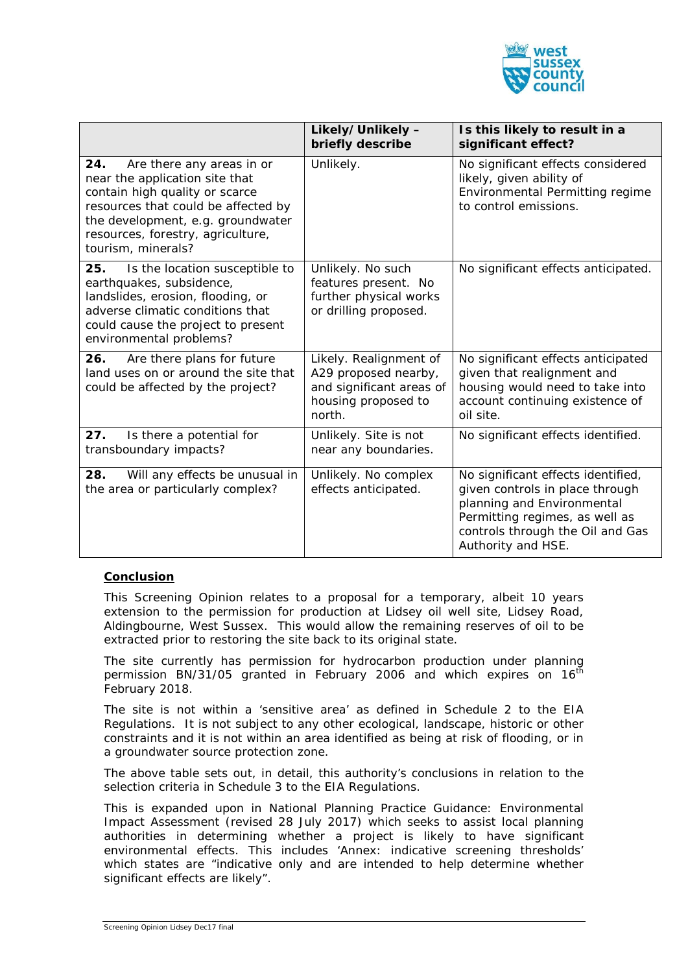

|                                                                                                                                                                                                                                             | Likely/Unlikely -<br>briefly describe                                                                       | Is this likely to result in a<br>significant effect?                                                                                                                                            |
|---------------------------------------------------------------------------------------------------------------------------------------------------------------------------------------------------------------------------------------------|-------------------------------------------------------------------------------------------------------------|-------------------------------------------------------------------------------------------------------------------------------------------------------------------------------------------------|
| Are there any areas in or<br>24.<br>near the application site that<br>contain high quality or scarce<br>resources that could be affected by<br>the development, e.g. groundwater<br>resources, forestry, agriculture,<br>tourism, minerals? | Unlikely.                                                                                                   | No significant effects considered<br>likely, given ability of<br>Environmental Permitting regime<br>to control emissions.                                                                       |
| 25.<br>Is the location susceptible to<br>earthquakes, subsidence,<br>landslides, erosion, flooding, or<br>adverse climatic conditions that<br>could cause the project to present<br>environmental problems?                                 | Unlikely. No such<br>features present. No<br>further physical works<br>or drilling proposed.                | No significant effects anticipated.                                                                                                                                                             |
| 26.<br>Are there plans for future<br>land uses on or around the site that<br>could be affected by the project?                                                                                                                              | Likely. Realignment of<br>A29 proposed nearby,<br>and significant areas of<br>housing proposed to<br>north. | No significant effects anticipated<br>given that realignment and<br>housing would need to take into<br>account continuing existence of<br>oil site.                                             |
| 27.<br>Is there a potential for<br>transboundary impacts?                                                                                                                                                                                   | Unlikely. Site is not<br>near any boundaries.                                                               | No significant effects identified.                                                                                                                                                              |
| 28.<br>Will any effects be unusual in<br>the area or particularly complex?                                                                                                                                                                  | Unlikely. No complex<br>effects anticipated.                                                                | No significant effects identified,<br>given controls in place through<br>planning and Environmental<br>Permitting regimes, as well as<br>controls through the Oil and Gas<br>Authority and HSE. |

### **Conclusion**

This Screening Opinion relates to a proposal for a temporary, albeit 10 years extension to the permission for production at Lidsey oil well site, Lidsey Road, Aldingbourne, West Sussex. This would allow the remaining reserves of oil to be extracted prior to restoring the site back to its original state.

The site currently has permission for hydrocarbon production under planning permission BN/31/05 granted in February 2006 and which expires on  $16<sup>th</sup>$ February 2018.

The site is not within a 'sensitive area' as defined in Schedule 2 to the EIA Regulations. It is not subject to any other ecological, landscape, historic or other constraints and it is not within an area identified as being at risk of flooding, or in a groundwater source protection zone.

The above table sets out, in detail, this authority's conclusions in relation to the selection criteria in Schedule 3 to the EIA Regulations.

This is expanded upon in National Planning Practice Guidance: Environmental Impact Assessment (revised 28 July 2017) which seeks to assist local planning authorities in determining whether a project is likely to have significant environmental effects. This includes 'Annex: indicative screening thresholds' which states are *"indicative only and are intended to help determine whether significant effects are likely".*

Screening Opinion Lidsey Dec17 final